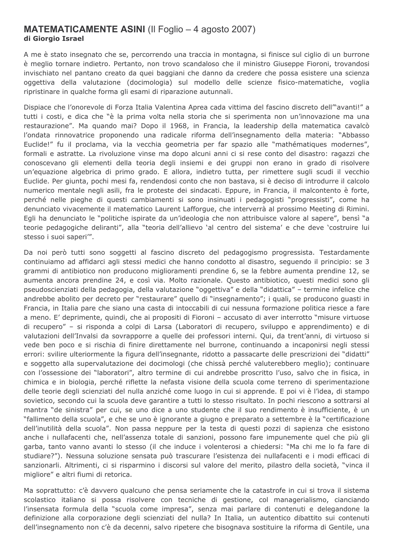## **MATEMATICAMENTE ASINI** (Il Foglio – 4 agosto 2007) di Giorgio Israel

A me è stato insegnato che se, percorrendo una traccia in montagna, si finisce sul ciglio di un burrone è meglio tornare indietro. Pertanto, non trovo scandaloso che il ministro Giuseppe Fioroni, trovandosi invischiato nel pantano creato da quei baggiani che danno da credere che possa esistere una scienza oggettiva della valutazione (docimologia) sul modello delle scienze fisico-matematiche, voglia ripristinare in qualche forma gli esami di riparazione autunnali.

Dispiace che l'onorevole di Forza Italia Valentina Aprea cada vittima del fascino discreto dell<sup>on</sup>avanti!" a tutti i costi, e dica che "è la prima volta nella storia che si sperimenta non un'innovazione ma una restaurazione". Ma quando mai? Dopo il 1968, in Francia, la leadership della matematica cavalcò l'ondata rinnovatrice proponendo una radicale riforma dell'insegnamento della materia: "Abbasso Euclide!" fu il proclama, via la vecchia geometria per far spazio alle "mathématiques modernes", formali e astratte. La rivoluzione vinse ma dopo alcuni anni ci si rese conto del disastro: ragazzi che conoscevano gli elementi della teoria degli insiemi e dei gruppi non erano in grado di risolvere un'equazione algebrica di primo grado. E allora, indietro tutta, per rimettere sugli scudi il vecchio Euclide. Per giunta, pochi mesi fa, rendendosi conto che non bastava, si è deciso di introdurre il calcolo numerico mentale negli asili, fra le proteste dei sindacati. Eppure, in Francia, il malcontento è forte, perché nelle pieghe di questi cambiamenti si sono insinuati i pedagogisti "progressisti", come ha denunciato vivacemente il matematico Laurent Lafforgue, che interverrà al prossimo Meeting di Rimini. Egli ha denunciato le "politiche ispirate da un'ideologia che non attribuisce valore al sapere", bensì "a teorie pedagogiche deliranti", alla "teoria dell'allievo 'al centro del sistema' e che deve 'costruire lui stesso i suoi saperi'".

Da noi però tutti sono soggetti al fascino discreto del pedagogismo progressista. Testardamente continuiamo ad affidarci agli stessi medici che hanno condotto al disastro, seguendo il principio: se 3 grammi di antibiotico non producono miglioramenti prendine 6, se la febbre aumenta prendine 12, se aumenta ancora prendine 24, e così via. Molto razionale. Questo antibiotico, questi medici sono gli pseudoscienziati della pedagogia, della valutazione "oggettiva" e della "didattica" - termine infelice che andrebbe abolito per decreto per "restaurare" quello di "insegnamento"; i quali, se producono quasti in Francia, in Italia pare che siano una casta di intoccabili di cui nessuna formazione politica riesce a fare a meno. E' deprimente, quindi, che ai propositi di Fioroni - accusato di aver interrotto "misure virtuose di recupero" – si risponda a colpi di Larsa (Laboratori di recupero, sviluppo e apprendimento) e di valutazioni dell'Invalsi da sovrapporre a quelle dei professori interni. Qui, da trent'anni, di virtuoso si vede ben poco e si rischia di finire direttamente nel burrone, continuando a incaponirsi negli stessi errori: svilire ulteriormente la figura dell'insegnante, ridotto a passacarte delle prescrizioni dei "didatti" e soggetto alla supervalutazione dei docimologi (che chissà perché valuterebbero meglio); continuare con l'ossessione dei "laboratori", altro termine di cui andrebbe proscritto l'uso, salvo che in fisica, in chimica e in biologia, perché riflette la nefasta visione della scuola come terreno di sperimentazione delle teorie degli scienziati del nulla anziché come luogo in cui si apprende. E poi vi è l'idea, di stampo sovietico, secondo cui la scuola deve garantire a tutti lo stesso risultato. In pochi riescono a sottrarsi al mantra "de sinistra" per cui, se uno dice a uno studente che il suo rendimento è insufficiente, è un "fallimento della scuola", e che se uno è ignorante a giugno e preparato a settembre è la "certificazione" dell'inutilità della scuola". Non passa neppure per la testa di questi pozzi di sapienza che esistono anche i nullafacenti che, nell'assenza totale di sanzioni, possono fare impunemente quel che più gli garba, tanto vanno avanti lo stesso (il che induce i volenterosi a chiedersi: "Ma chi me lo fa fare di studiare?"). Nessuna soluzione sensata può trascurare l'esistenza dei nullafacenti e i modi efficaci di sanzionarli. Altrimenti, ci si risparmino i discorsi sul valore del merito, pilastro della società, "vinca il migliore" e altri fiumi di retorica.

Ma soprattutto: c'è davvero qualcuno che pensa seriamente che la catastrofe in cui si trova il sistema scolastico italiano si possa risolvere con tecniche di gestione, col managerialismo, cianciando l'insensata formula della "scuola come impresa", senza mai parlare di contenuti e delegandone la definizione alla corporazione degli scienziati del nulla? In Italia, un autentico dibattito sui contenuti dell'insegnamento non c'è da decenni, salvo ripetere che bisognava sostituire la riforma di Gentile, una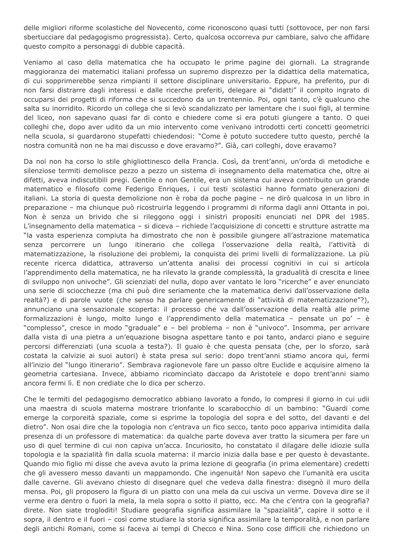delle migliori riforme scolastiche del Novecento, come riconoscono quasi tutti (sottovoce, per non farsi sbertucciare dal pedagogismo progressista). Certo, qualcosa occorreva pur cambiare, salvo che affidare questo compito a personaggi di dubbie capacità.

Veniamo al caso della matematica che ha occupato le prime pagine dei giornali. La stragrande maggioranza dei matematici italiani professa un supremo disprezzo per la didattica della matematica, di cui sopprimerebbe senza rimpianti il settore disciplinare universitario. Eppure, ha preferito, pur di non farsi distrarre dagli interessi e dalle ricerche preferiti, delegare ai "didatti" il compito ingrato di occuparsi dei progetti di riforma che si succedono da un trentennio. Poi, ogni tanto, c'è qualcuno che salta su inorridito. Ricordo un collega che si levò scandalizzato per lamentare che i suoi figli, al termine del liceo, non sapevano quasi far di conto e chiedere come si era potuti giungere a tanto. O quei colleghi che, dopo aver udito da un mio intervento come venivano introdotti certi concetti geometrici nella scuola, si quardarono stupefatti chiedendosi: "Come è potuto succedere tutto questo, perché la nostra comunità non ne ha mai discusso e dove eravamo?". Già, cari colleghi, dove eravamo?

Da noi non ha corso lo stile ghigliottinesco della Francia. Così, da trent'anni, un'orda di metodiche e silenziose termiti demolisce pezzo a pezzo un sistema di insegnamento della matematica che, oltre ai difetti, aveva indiscutibili pregi. Gentile o non Gentile, era un sistema cui aveva contribuito un grande matematico e filosofo come Federigo Enriques, i cui testi scolastici hanno formato generazioni di italiani. La storia di questa demolizione non è roba da poche pagine - ne dirò qualcosa in un libro in preparazione – ma chiunque può ricostruirla leggendo i programmi di riforma dagli anni Ottanta in poi. Non è senza un brivido che si rileggono oggi i sinistri propositi enunciati nel DPR del 1985. L'insegnamento della matematica - si diceva - richiede l'acquisizione di concetti e strutture astratte ma "la vasta esperienza compiuta ha dimostrato che non è possibile giungere all'astrazione matematica senza percorrere un lungo itinerario che collega l'osservazione della realtà, l'attività di matematizzazione, la risoluzione dei problemi, la conquista dei primi livelli di formalizzazione. La più recente ricerca didattica, attraverso un'attenta analisi dei processi cognitivi in cui si articola l'apprendimento della matematica, ne ha rilevato la grande complessità, la gradualità di crescita e linee di sviluppo non univoche". Gli scienziati del nulla, dopo aver vantato le loro "ricerche" e aver enunciato una serie di sciocchezze (ma chi può dire seriamente che la matematica derivi dall'osservazione della realtà?) e di parole vuote (che senso ha parlare genericamente di "attività di matematizzazione"?), annunciano una sensazionale scoperta: il processo che va dall'osservazione della realtà alle prime formalizzazioni è lungo, molto lungo e l'apprendimento della matematica - pensate un po' - è "complesso", cresce in modo "graduale" e - bel problema - non è "univoco". Insomma, per arrivare dalla vista di una pietra a un'equazione bisogna aspettare tanto e poi tanto, andarci piano e seguire percorsi differenziati (una scuola a testa?). Il guaio è che questa pensata (che, per lo sforzo, sarà costata la calvizie ai suoi autori) è stata presa sul serio: dopo trent'anni stiamo ancora qui, fermi all'inizio del "lungo itinerario". Sembrava ragionevole fare un passo oltre Euclide e acquisire almeno la geometria cartesiana. Invece, abbiamo ricominciato daccapo da Aristotele e dopo trent'anni siamo ancora fermi lì. E non crediate che lo dica per scherzo.

Che le termiti del pedagogismo democratico abbiano lavorato a fondo, lo compresi il giorno in cui udii una maestra di scuola materna mostrare trionfante lo scarabocchio di un bambino: "Guardi come emerge la corporeità spaziale, come si esprime la topologia del sopra e del sotto, del davanti e del dietro". Non osai dire che la topologia non c'entrava un fico secco, tanto poco appariva intimidita dalla presenza di un professore di matematica: da qualche parte doveva aver tratto la sicumera per fare un uso di quel termine di cui non capiva un'acca. Incuriosito, ho constatato il dilagare delle idiozie sulla topologia e la spazialità fin dalla scuola materna: il marcio inizia dalla base e per questo è devastante. Quando mio figlio mi disse che aveva avuto la prima lezione di geografia (in prima elementare) credetti che gli avessero messo davanti un mappamondo. Che ingenuità! Non sapevo che l'umanità era uscita dalle caverne. Gli avevano chiesto di disegnare quel che vedeva dalla finestra: disegnò il muro della mensa. Poi, gli proposero la figura di un piatto con una mela da cui usciva un verme. Doveva dire se il verme era dentro o fuori la mela, la mela sopra o sotto il piatto, ecc. Ma che c'entra con la geografia? direte. Non siate trogloditi! Studiare geografia significa assimilare la "spazialità", capire il sotto e il sopra, il dentro e il fuori - così come studiare la storia significa assimilare la temporalità, e non parlare degli antichi Romani, come si faceva ai tempi di Checco e Nina. Sono cose difficili che richiedono un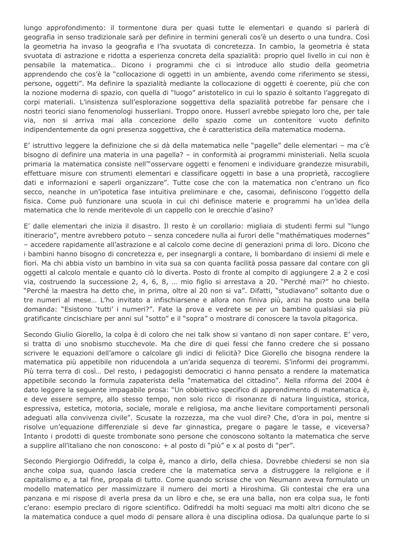lungo approfondimento: il tormentone dura per quasi tutte le elementari e quando si parlerà di geografia in senso tradizionale sarà per definire in termini generali cos'è un deserto o una tundra. Così la geometria ha invaso la geografia e l'ha svuotata di concretezza. In cambio, la geometria è stata svuotata di astrazione e ridotta a esperienza concreta della spazialità; proprio quel livello in cui non è pensabile la matematica... Dicono i programmi che ci si introduce allo studio della geometria apprendendo che cos'è la "collocazione di oggetti in un ambiente, avendo come riferimento se stessi, persone, oggetti". Ma definire la spazialità mediante la collocazione di oggetti è coerente, più che con la nozione moderna di spazio, con quella di "luogo" aristotelico in cui lo spazio è soltanto l'aggregato di corpi materiali. L'insistenza sull'esplorazione soggettiva della spazialità potrebbe far pensare che i nostri teorici siano fenomenologi husserliani. Troppo onore. Husserl avrebbe spiegato loro che, per tale via, non si arriva mai alla concezione dello spazio come un contenitore vuoto definito indipendentemente da ogni presenza soggettiva, che è caratteristica della matematica moderna.

E' istruttivo leggere la definizione che si dà della matematica nelle "pagelle" delle elementari – ma c'è bisogno di definire una materia in una pagella? – in conformità ai programmi ministeriali. Nella scuola primaria la matematica consiste nell<sup>"</sup>osservare oggetti e fenomeni e individuare grandezze misurabili, effettuare misure con strumenti elementari e classificare oggetti in base a una proprietà, raccogliere dati e informazioni e saperli organizzare". Tutte cose che con la matematica non c'entrano un fico secco, neanche in un'ipotetica fase intuitiva preliminare e che, casomai, definiscono l'oggetto della fisica. Come può funzionare una scuola in cui chi definisce materie e programmi ha un'idea della matematica che lo rende meritevole di un cappello con le orecchie d'asino?

E' dalle elementari che inizia il disastro. Il resto è un corollario: migliaia di studenti fermi sul "lungo" itinerario", mentre avrebbero potuto - senza concedere nulla ai furori delle "mathématiques modernes" - accedere rapidamente all'astrazione e al calcolo come decine di generazioni prima di loro. Dicono che i bambini hanno bisogno di concretezza e, per insegnargli a contare, li bombardano di insiemi di mele e fiori. Ma chi abbia visto un bambino in vita sua sa con quanta facilità possa passare dal contare con gli oggetti al calcolo mentale e quanto ciò lo diverta. Posto di fronte al compito di aggiungere 2 a 2 e così via, costruendo la successione 2, 4, 6, 8, ... mio figlio si arrestava a 20. "Perché mai?" ho chiesto. "Perché la maestra ha detto che, in prima, oltre al 20 non si va". Difatti, "studiavano" soltanto due o tre numeri al mese... L'ho invitato a infischiarsene e allora non finiva più, anzi ha posto una bella domanda: "Esistono 'tutti' i numeri?". Fate la prova e vedrete se per un bambino qualsiasi sia più gratificante cincischiare per anni sul "sotto" e il "sopra" o mostrare di conoscere la tavola pitagorica.

Secondo Giulio Giorello, la colpa è di coloro che nei talk show si vantano di non saper contare. E' vero, si tratta di uno snobismo stucchevole. Ma che dire di quei fessi che fanno credere che si possano scrivere le equazioni dell'amore o calcolare gli indici di felicità? Dice Giorello che bisogna rendere la matematica più appetibile non riducendola a un'arida sequenza di teoremi. S'informi dei programmi. Più terra terra di così... Del resto, i pedagogisti democratici ci hanno pensato a rendere la matematica appetibile secondo la formula zapaterista della "matematica del cittadino". Nella riforma del 2004 è dato leggere la seguente impagabile prosa: "Un obbiettivo specifico di apprendimento di matematica è, e deve essere sempre, allo stesso tempo, non solo ricco di risonanze di natura linguistica, storica, espressiva, estetica, motoria, sociale, morale e religiosa, ma anche lievitare comportamenti personali adequati alla convivenza civile". Scusate la rozzezza, ma che vuol dire? Che, d'ora in poi, mentre si risolve un'equazione differenziale si deve far ginnastica, pregare o pagare le tasse, e viceversa? Intanto i prodotti di queste trombonate sono persone che conoscono soltanto la matematica che serve a supplire all'italiano che non conoscono: + al posto di "più" e x al posto di "per".

Secondo Piergiorgio Odifreddi, la colpa è, manco a dirlo, della chiesa. Dovrebbe chiedersi se non sia anche colpa sua, quando lascia credere che la matematica serva a distruggere la religione e il capitalismo e, a tal fine, propala di tutto. Come quando scrisse che von Neumann aveva formulato un modello matematico per massimizzare il numero dei morti a Hiroshima. Gli contestai che era una panzana e mi rispose di averla presa da un libro e che, se era una balla, non era colpa sua, le fonti c'erano: esempio preclaro di rigore scientifico. Odifreddi ha molti seguaci ma molti altri dicono che se la matematica conduce a quel modo di pensare allora è una disciplina odiosa. Da qualunque parte lo si